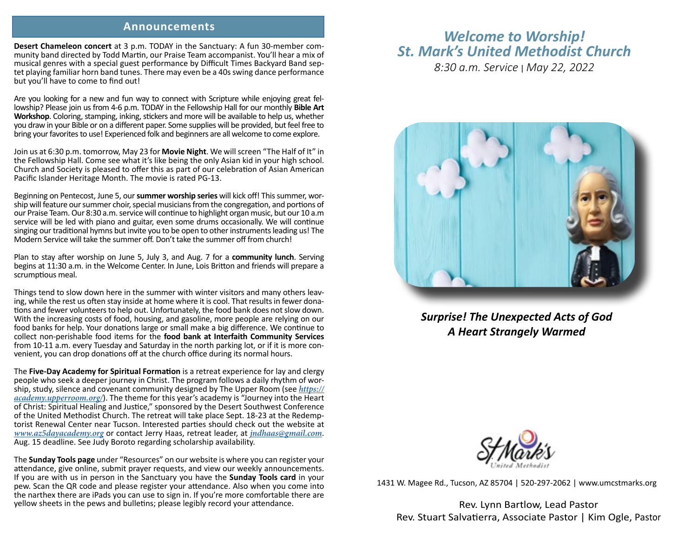## **Announcements**

**Desert Chameleon concert** at 3 p.m. TODAY in the Sanctuary: A fun 30-member community band directed by Todd Martin, our Praise Team accompanist. You'll hear a mix of musical genres with a special guest performance by Difficult Times Backyard Band septet playing familiar horn band tunes. There may even be a 40s swing dance performance but you'll have to come to find out!

Are you looking for a new and fun way to connect with Scripture while enjoying great fellowship? Please join us from 4-6 p.m. TODAY in the Fellowship Hall for our monthly **Bible Art Workshop**. Coloring, stamping, inking, stickers and more will be available to help us, whether you draw in your Bible or on a different paper. Some supplies will be provided, but feel free to bring your favorites to use! Experienced folk and beginners are all welcome to come explore.

Join us at 6:30 p.m. tomorrow, May 23 for **Movie Night**. We will screen "The Half of It" in the Fellowship Hall. Come see what it's like being the only Asian kid in your high school. Church and Society is pleased to offer this as part of our celebration of Asian American Pacific Islander Heritage Month. The movie is rated PG-13.

Beginning on Pentecost, June 5, our **summer worship series** will kick off! This summer, worship will feature our summer choir, special musicians from the congregation, and portions of our Praise Team. Our 8:30 a.m. service will continue to highlight organ music, but our 10 a.m service will be led with piano and guitar, even some drums occasionally. We will continue singing our traditional hymns but invite you to be open to other instruments leading us! The Modern Service will take the summer off. Don't take the summer off from church!

Plan to stay after worship on June 5, July 3, and Aug. 7 for a **community lunch**. Serving begins at 11:30 a.m. in the Welcome Center. In June, Lois Britton and friends will prepare a scrumptious meal.

Things tend to slow down here in the summer with winter visitors and many others leaving, while the rest us often stay inside at home where it is cool. That results in fewer donations and fewer volunteers to help out. Unfortunately, the food bank does not slow down. With the increasing costs of food, housing, and gasoline, more people are relying on our food banks for help. Your donations large or small make a big difference. We continue to collect non-perishable food items for the **food bank at Interfaith Community Services** from 10-11 a.m. every Tuesday and Saturday in the north parking lot, or if it is more convenient, you can drop donations off at the church office during its normal hours.

The **Five-Day Academy for Spiritual Formation** is a retreat experience for lay and clergy people who seek a deeper journey in Christ. The program follows a daily rhythm of worship, study, silence and covenant community designed by The Upper Room (see *https:// academy.upperroom.org/*). The theme for this year's academy is "Journey into the Heart of Christ: Spiritual Healing and Justice," sponsored by the Desert Southwest Conference torist Renewal Center near Tucson. Interested parties should check out the website at *www.az5dayacademy.org* or contact Jerry Haas, retreat leader, at *jndhaas@gmail.com*. Aug. 15 deadline. See Judy Boroto regarding scholarship availability.

The **Sunday Tools page** under "Resources" on our website is where you can register your attendance, give online, submit prayer requests, and view our weekly announcements. If you are with us in person in the Sanctuary you have the **Sunday Tools card** in your pew. Scan the QR code and please register your attendance. Also when you come into the narthex there are iPads you can use to sign in. If you're more comfortable there are yellow sheets in the pews and bulletins; please legibly record your attendance.

## *Welcome to Worship! St. Mark's United Methodist Church*

*8:30 a.m. Service* | *May 22, 2022*



*Surprise! The Unexpected Acts of God A Heart Strangely Warmed*



1431 W. Magee Rd., Tucson, AZ 85704 | 520-297-2062 | www.umcstmarks.org

Rev. Lynn Bartlow, Lead Pastor Rev. Stuart Salvatierra, Associate Pastor | Kim Ogle, Pastor